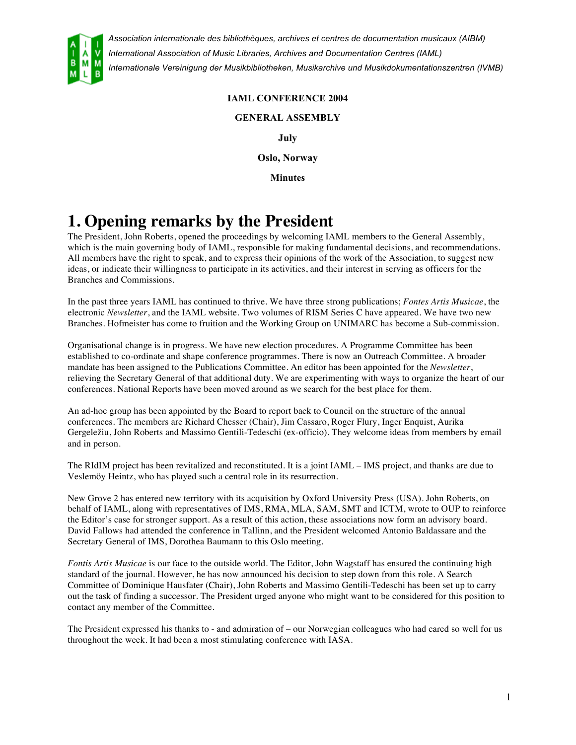

### **IAML CONFERENCE 2004**

#### **GENERAL ASSEMBLY**

**July**

**Oslo, Norway**

**Minutes**

# **1. Opening remarks by the President**

The President, John Roberts, opened the proceedings by welcoming IAML members to the General Assembly, which is the main governing body of IAML, responsible for making fundamental decisions, and recommendations. All members have the right to speak, and to express their opinions of the work of the Association, to suggest new ideas, or indicate their willingness to participate in its activities, and their interest in serving as officers for the Branches and Commissions.

In the past three years IAML has continued to thrive. We have three strong publications; *Fontes Artis Musicae*, the electronic *Newsletter*, and the IAML website. Two volumes of RISM Series C have appeared. We have two new Branches. Hofmeister has come to fruition and the Working Group on UNIMARC has become a Sub-commission.

Organisational change is in progress. We have new election procedures. A Programme Committee has been established to co-ordinate and shape conference programmes. There is now an Outreach Committee. A broader mandate has been assigned to the Publications Committee. An editor has been appointed for the *Newsletter*, relieving the Secretary General of that additional duty. We are experimenting with ways to organize the heart of our conferences. National Reports have been moved around as we search for the best place for them.

An ad-hoc group has been appointed by the Board to report back to Council on the structure of the annual conferences. The members are Richard Chesser (Chair), Jim Cassaro, Roger Flury, Inger Enquist, Aurika Gergeležiu, John Roberts and Massimo Gentili-Tedeschi (ex-officio). They welcome ideas from members by email and in person.

The RIdIM project has been revitalized and reconstituted. It is a joint IAML – IMS project, and thanks are due to Veslemöy Heintz, who has played such a central role in its resurrection.

New Grove 2 has entered new territory with its acquisition by Oxford University Press (USA). John Roberts, on behalf of IAML, along with representatives of IMS, RMA, MLA, SAM, SMT and ICTM, wrote to OUP to reinforce the Editor's case for stronger support. As a result of this action, these associations now form an advisory board. David Fallows had attended the conference in Tallinn, and the President welcomed Antonio Baldassare and the Secretary General of IMS, Dorothea Baumann to this Oslo meeting.

*Fontis Artis Musicae* is our face to the outside world. The Editor, John Wagstaff has ensured the continuing high standard of the journal. However, he has now announced his decision to step down from this role. A Search Committee of Dominique Hausfater (Chair), John Roberts and Massimo Gentili-Tedeschi has been set up to carry out the task of finding a successor. The President urged anyone who might want to be considered for this position to contact any member of the Committee.

The President expressed his thanks to - and admiration of – our Norwegian colleagues who had cared so well for us throughout the week. It had been a most stimulating conference with IASA.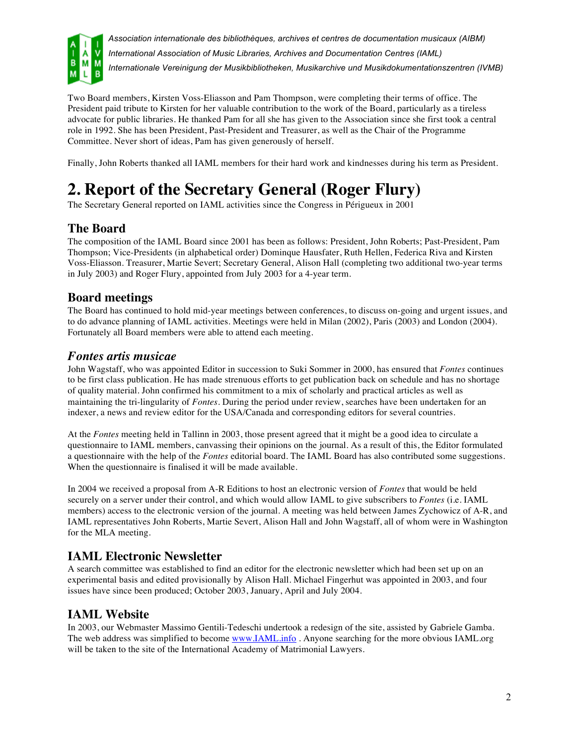

Two Board members, Kirsten Voss-Eliasson and Pam Thompson, were completing their terms of office. The President paid tribute to Kirsten for her valuable contribution to the work of the Board, particularly as a tireless advocate for public libraries. He thanked Pam for all she has given to the Association since she first took a central role in 1992. She has been President, Past-President and Treasurer, as well as the Chair of the Programme Committee. Never short of ideas, Pam has given generously of herself.

Finally, John Roberts thanked all IAML members for their hard work and kindnesses during his term as President.

# **2. Report of the Secretary General (Roger Flury)**

The Secretary General reported on IAML activities since the Congress in Périgueux in 2001

## **The Board**

The composition of the IAML Board since 2001 has been as follows: President, John Roberts; Past-President, Pam Thompson; Vice-Presidents (in alphabetical order) Dominque Hausfater, Ruth Hellen, Federica Riva and Kirsten Voss-Eliasson. Treasurer, Martie Severt; Secretary General, Alison Hall (completing two additional two-year terms in July 2003) and Roger Flury, appointed from July 2003 for a 4-year term.

## **Board meetings**

The Board has continued to hold mid-year meetings between conferences, to discuss on-going and urgent issues, and to do advance planning of IAML activities. Meetings were held in Milan (2002), Paris (2003) and London (2004). Fortunately all Board members were able to attend each meeting.

### *Fontes artis musicae*

John Wagstaff, who was appointed Editor in succession to Suki Sommer in 2000, has ensured that *Fontes* continues to be first class publication. He has made strenuous efforts to get publication back on schedule and has no shortage of quality material. John confirmed his commitment to a mix of scholarly and practical articles as well as maintaining the tri-lingularity of *Fontes*. During the period under review, searches have been undertaken for an indexer, a news and review editor for the USA/Canada and corresponding editors for several countries.

At the *Fontes* meeting held in Tallinn in 2003, those present agreed that it might be a good idea to circulate a questionnaire to IAML members, canvassing their opinions on the journal. As a result of this, the Editor formulated a questionnaire with the help of the *Fontes* editorial board. The IAML Board has also contributed some suggestions. When the questionnaire is finalised it will be made available.

In 2004 we received a proposal from A-R Editions to host an electronic version of *Fontes* that would be held securely on a server under their control, and which would allow IAML to give subscribers to *Fontes* (i.e. IAML members) access to the electronic version of the journal. A meeting was held between James Zychowicz of A-R, and IAML representatives John Roberts, Martie Severt, Alison Hall and John Wagstaff, all of whom were in Washington for the MLA meeting.

## **IAML Electronic Newsletter**

A search committee was established to find an editor for the electronic newsletter which had been set up on an experimental basis and edited provisionally by Alison Hall. Michael Fingerhut was appointed in 2003, and four issues have since been produced; October 2003, January, April and July 2004.

## **IAML Website**

In 2003, our Webmaster Massimo Gentili-Tedeschi undertook a redesign of the site, assisted by Gabriele Gamba. The web address was simplified to become www.IAML.info . Anyone searching for the more obvious IAML.org will be taken to the site of the International Academy of Matrimonial Lawyers.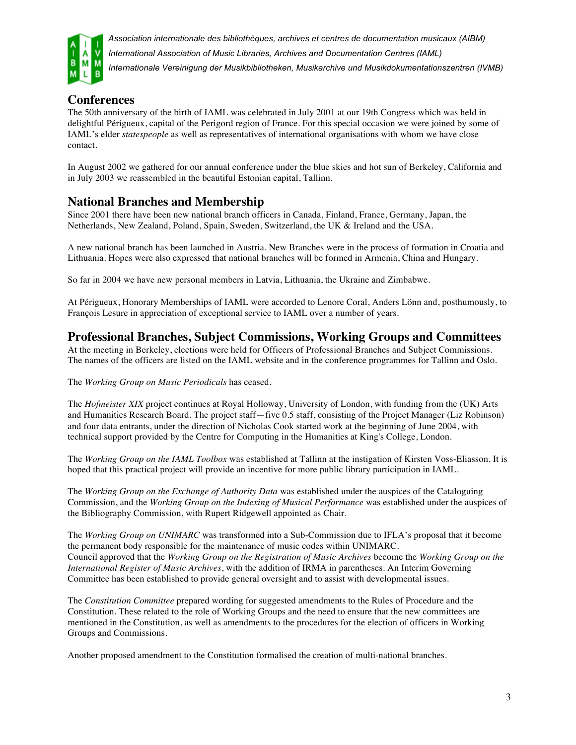

## **Conferences**

The 50th anniversary of the birth of IAML was celebrated in July 2001 at our 19th Congress which was held in delightful Périgueux, capital of the Perigord region of France. For this special occasion we were joined by some of IAML's elder *statespeople* as well as representatives of international organisations with whom we have close contact.

In August 2002 we gathered for our annual conference under the blue skies and hot sun of Berkeley, California and in July 2003 we reassembled in the beautiful Estonian capital, Tallinn.

## **National Branches and Membership**

Since 2001 there have been new national branch officers in Canada, Finland, France, Germany, Japan, the Netherlands, New Zealand, Poland, Spain, Sweden, Switzerland, the UK & Ireland and the USA.

A new national branch has been launched in Austria. New Branches were in the process of formation in Croatia and Lithuania. Hopes were also expressed that national branches will be formed in Armenia, China and Hungary.

So far in 2004 we have new personal members in Latvia, Lithuania, the Ukraine and Zimbabwe.

At Périgueux, Honorary Memberships of IAML were accorded to Lenore Coral, Anders Lönn and, posthumously, to François Lesure in appreciation of exceptional service to IAML over a number of years.

### **Professional Branches, Subject Commissions, Working Groups and Committees**

At the meeting in Berkeley, elections were held for Officers of Professional Branches and Subject Commissions. The names of the officers are listed on the IAML website and in the conference programmes for Tallinn and Oslo.

The *Working Group on Music Periodicals* has ceased.

The *Hofmeister XIX* project continues at Royal Holloway, University of London, with funding from the (UK) Arts and Humanities Research Board. The project staff—five 0.5 staff, consisting of the Project Manager (Liz Robinson) and four data entrants, under the direction of Nicholas Cook started work at the beginning of June 2004, with technical support provided by the Centre for Computing in the Humanities at King's College, London.

The *Working Group on the IAML Toolbox* was established at Tallinn at the instigation of Kirsten Voss-Eliasson. It is hoped that this practical project will provide an incentive for more public library participation in IAML.

The *Working Group on the Exchange of Authority Data* was established under the auspices of the Cataloguing Commission, and the *Working Group on the Indexing of Musical Performance* was established under the auspices of the Bibliography Commission, with Rupert Ridgewell appointed as Chair.

The *Working Group on UNIMARC* was transformed into a Sub-Commission due to IFLA's proposal that it become the permanent body responsible for the maintenance of music codes within UNIMARC. Council approved that the *Working Group on the Registration of Music Archives* become the *Working Group on the International Register of Music Archives*, with the addition of IRMA in parentheses. An Interim Governing Committee has been established to provide general oversight and to assist with developmental issues.

The *Constitution Committee* prepared wording for suggested amendments to the Rules of Procedure and the Constitution. These related to the role of Working Groups and the need to ensure that the new committees are mentioned in the Constitution, as well as amendments to the procedures for the election of officers in Working Groups and Commissions.

Another proposed amendment to the Constitution formalised the creation of multi-national branches.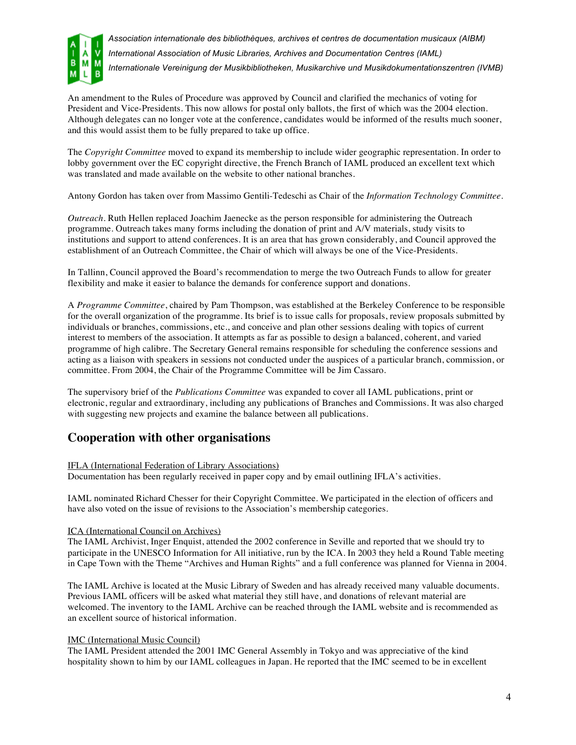

An amendment to the Rules of Procedure was approved by Council and clarified the mechanics of voting for President and Vice-Presidents. This now allows for postal only ballots, the first of which was the 2004 election. Although delegates can no longer vote at the conference, candidates would be informed of the results much sooner, and this would assist them to be fully prepared to take up office.

The *Copyright Committee* moved to expand its membership to include wider geographic representation. In order to lobby government over the EC copyright directive, the French Branch of IAML produced an excellent text which was translated and made available on the website to other national branches.

Antony Gordon has taken over from Massimo Gentili-Tedeschi as Chair of the *Information Technology Committee*.

*Outreach*. Ruth Hellen replaced Joachim Jaenecke as the person responsible for administering the Outreach programme. Outreach takes many forms including the donation of print and A/V materials, study visits to institutions and support to attend conferences. It is an area that has grown considerably, and Council approved the establishment of an Outreach Committee, the Chair of which will always be one of the Vice-Presidents.

In Tallinn, Council approved the Board's recommendation to merge the two Outreach Funds to allow for greater flexibility and make it easier to balance the demands for conference support and donations.

A *Programme Committee*, chaired by Pam Thompson, was established at the Berkeley Conference to be responsible for the overall organization of the programme. Its brief is to issue calls for proposals, review proposals submitted by individuals or branches, commissions, etc., and conceive and plan other sessions dealing with topics of current interest to members of the association. It attempts as far as possible to design a balanced, coherent, and varied programme of high calibre. The Secretary General remains responsible for scheduling the conference sessions and acting as a liaison with speakers in sessions not conducted under the auspices of a particular branch, commission, or committee. From 2004, the Chair of the Programme Committee will be Jim Cassaro.

The supervisory brief of the *Publications Committee* was expanded to cover all IAML publications, print or electronic, regular and extraordinary, including any publications of Branches and Commissions. It was also charged with suggesting new projects and examine the balance between all publications.

### **Cooperation with other organisations**

#### IFLA (International Federation of Library Associations)

Documentation has been regularly received in paper copy and by email outlining IFLA's activities.

IAML nominated Richard Chesser for their Copyright Committee. We participated in the election of officers and have also voted on the issue of revisions to the Association's membership categories.

#### ICA (International Council on Archives)

The IAML Archivist, Inger Enquist, attended the 2002 conference in Seville and reported that we should try to participate in the UNESCO Information for All initiative, run by the ICA. In 2003 they held a Round Table meeting in Cape Town with the Theme "Archives and Human Rights" and a full conference was planned for Vienna in 2004.

The IAML Archive is located at the Music Library of Sweden and has already received many valuable documents. Previous IAML officers will be asked what material they still have, and donations of relevant material are welcomed. The inventory to the IAML Archive can be reached through the IAML website and is recommended as an excellent source of historical information.

#### IMC (International Music Council)

The IAML President attended the 2001 IMC General Assembly in Tokyo and was appreciative of the kind hospitality shown to him by our IAML colleagues in Japan. He reported that the IMC seemed to be in excellent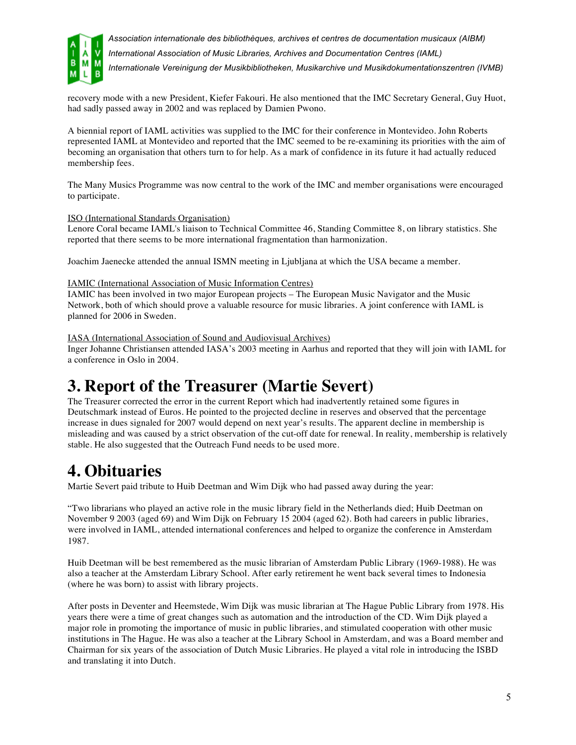

*Association internationale des bibliothèques, archives et centres de documentation musicaux (AIBM) International Association of Music Libraries, Archives and Documentation Centres (IAML)*

*Internationale Vereinigung der Musikbibliotheken, Musikarchive und Musikdokumentationszentren (IVMB)*

recovery mode with a new President, Kiefer Fakouri. He also mentioned that the IMC Secretary General, Guy Huot, had sadly passed away in 2002 and was replaced by Damien Pwono.

A biennial report of IAML activities was supplied to the IMC for their conference in Montevideo. John Roberts represented IAML at Montevideo and reported that the IMC seemed to be re-examining its priorities with the aim of becoming an organisation that others turn to for help. As a mark of confidence in its future it had actually reduced membership fees.

The Many Musics Programme was now central to the work of the IMC and member organisations were encouraged to participate.

#### ISO (International Standards Organisation)

Lenore Coral became IAML's liaison to Technical Committee 46, Standing Committee 8, on library statistics. She reported that there seems to be more international fragmentation than harmonization.

Joachim Jaenecke attended the annual ISMN meeting in Ljubljana at which the USA became a member.

#### IAMIC (International Association of Music Information Centres)

IAMIC has been involved in two major European projects – The European Music Navigator and the Music Network, both of which should prove a valuable resource for music libraries. A joint conference with IAML is planned for 2006 in Sweden.

#### IASA (International Association of Sound and Audiovisual Archives)

Inger Johanne Christiansen attended IASA's 2003 meeting in Aarhus and reported that they will join with IAML for a conference in Oslo in 2004.

## **3. Report of the Treasurer (Martie Severt)**

The Treasurer corrected the error in the current Report which had inadvertently retained some figures in Deutschmark instead of Euros. He pointed to the projected decline in reserves and observed that the percentage increase in dues signaled for 2007 would depend on next year's results. The apparent decline in membership is misleading and was caused by a strict observation of the cut-off date for renewal. In reality, membership is relatively stable. He also suggested that the Outreach Fund needs to be used more.

## **4. Obituaries**

Martie Severt paid tribute to Huib Deetman and Wim Dijk who had passed away during the year:

"Two librarians who played an active role in the music library field in the Netherlands died; Huib Deetman on November 9 2003 (aged 69) and Wim Dijk on February 15 2004 (aged 62). Both had careers in public libraries, were involved in IAML, attended international conferences and helped to organize the conference in Amsterdam 1987.

Huib Deetman will be best remembered as the music librarian of Amsterdam Public Library (1969-1988). He was also a teacher at the Amsterdam Library School. After early retirement he went back several times to Indonesia (where he was born) to assist with library projects.

After posts in Deventer and Heemstede, Wim Dijk was music librarian at The Hague Public Library from 1978. His years there were a time of great changes such as automation and the introduction of the CD. Wim Dijk played a major role in promoting the importance of music in public libraries, and stimulated cooperation with other music institutions in The Hague. He was also a teacher at the Library School in Amsterdam, and was a Board member and Chairman for six years of the association of Dutch Music Libraries. He played a vital role in introducing the ISBD and translating it into Dutch.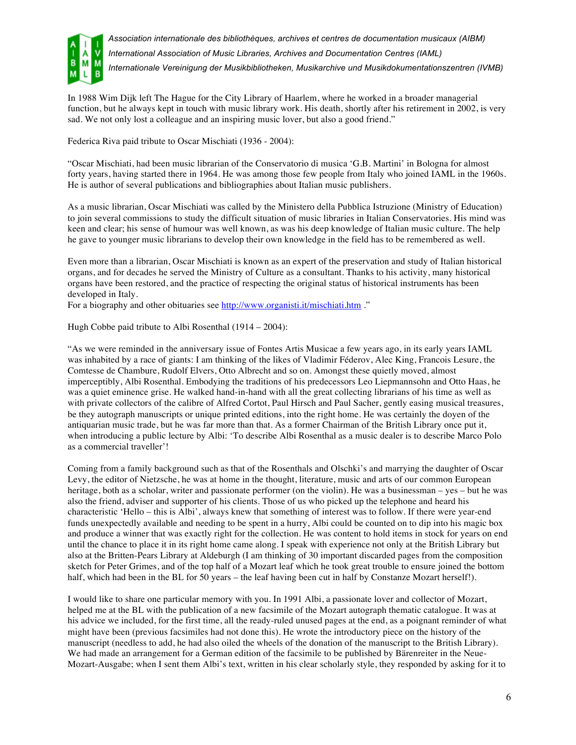

In 1988 Wim Dijk left The Hague for the City Library of Haarlem, where he worked in a broader managerial function, but he always kept in touch with music library work. His death, shortly after his retirement in 2002, is very sad. We not only lost a colleague and an inspiring music lover, but also a good friend."

Federica Riva paid tribute to Oscar Mischiati (1936 - 2004):

"Oscar Mischiati, had been music librarian of the Conservatorio di musica 'G.B. Martini' in Bologna for almost forty years, having started there in 1964. He was among those few people from Italy who joined IAML in the 1960s. He is author of several publications and bibliographies about Italian music publishers.

As a music librarian, Oscar Mischiati was called by the Ministero della Pubblica Istruzione (Ministry of Education) to join several commissions to study the difficult situation of music libraries in Italian Conservatories. His mind was keen and clear; his sense of humour was well known, as was his deep knowledge of Italian music culture. The help he gave to younger music librarians to develop their own knowledge in the field has to be remembered as well.

Even more than a librarian, Oscar Mischiati is known as an expert of the preservation and study of Italian historical organs, and for decades he served the Ministry of Culture as a consultant. Thanks to his activity, many historical organs have been restored, and the practice of respecting the original status of historical instruments has been developed in Italy.

For a biography and other obituaries see http://www.organisti.it/mischiati.htm ."

Hugh Cobbe paid tribute to Albi Rosenthal (1914 – 2004):

"As we were reminded in the anniversary issue of Fontes Artis Musicae a few years ago, in its early years IAML was inhabited by a race of giants: I am thinking of the likes of Vladimir Féderov, Alec King, Francois Lesure, the Comtesse de Chambure, Rudolf Elvers, Otto Albrecht and so on. Amongst these quietly moved, almost imperceptibly, Albi Rosenthal. Embodying the traditions of his predecessors Leo Liepmannsohn and Otto Haas, he was a quiet eminence grise. He walked hand-in-hand with all the great collecting librarians of his time as well as with private collectors of the calibre of Alfred Cortot, Paul Hirsch and Paul Sacher, gently easing musical treasures, be they autograph manuscripts or unique printed editions, into the right home. He was certainly the doyen of the antiquarian music trade, but he was far more than that. As a former Chairman of the British Library once put it, when introducing a public lecture by Albi: 'To describe Albi Rosenthal as a music dealer is to describe Marco Polo as a commercial traveller'!

Coming from a family background such as that of the Rosenthals and Olschki's and marrying the daughter of Oscar Levy, the editor of Nietzsche, he was at home in the thought, literature, music and arts of our common European heritage, both as a scholar, writer and passionate performer (on the violin). He was a businessman – yes – but he was also the friend, adviser and supporter of his clients. Those of us who picked up the telephone and heard his characteristic 'Hello – this is Albi', always knew that something of interest was to follow. If there were year-end funds unexpectedly available and needing to be spent in a hurry, Albi could be counted on to dip into his magic box and produce a winner that was exactly right for the collection. He was content to hold items in stock for years on end until the chance to place it in its right home came along. I speak with experience not only at the British Library but also at the Britten-Pears Library at Aldeburgh (I am thinking of 30 important discarded pages from the composition sketch for Peter Grimes, and of the top half of a Mozart leaf which he took great trouble to ensure joined the bottom half, which had been in the BL for 50 years – the leaf having been cut in half by Constanze Mozart herself!).

I would like to share one particular memory with you. In 1991 Albi, a passionate lover and collector of Mozart, helped me at the BL with the publication of a new facsimile of the Mozart autograph thematic catalogue. It was at his advice we included, for the first time, all the ready-ruled unused pages at the end, as a poignant reminder of what might have been (previous facsimiles had not done this). He wrote the introductory piece on the history of the manuscript (needless to add, he had also oiled the wheels of the donation of the manuscript to the British Library). We had made an arrangement for a German edition of the facsimile to be published by Bärenreiter in the Neue-Mozart-Ausgabe; when I sent them Albi's text, written in his clear scholarly style, they responded by asking for it to